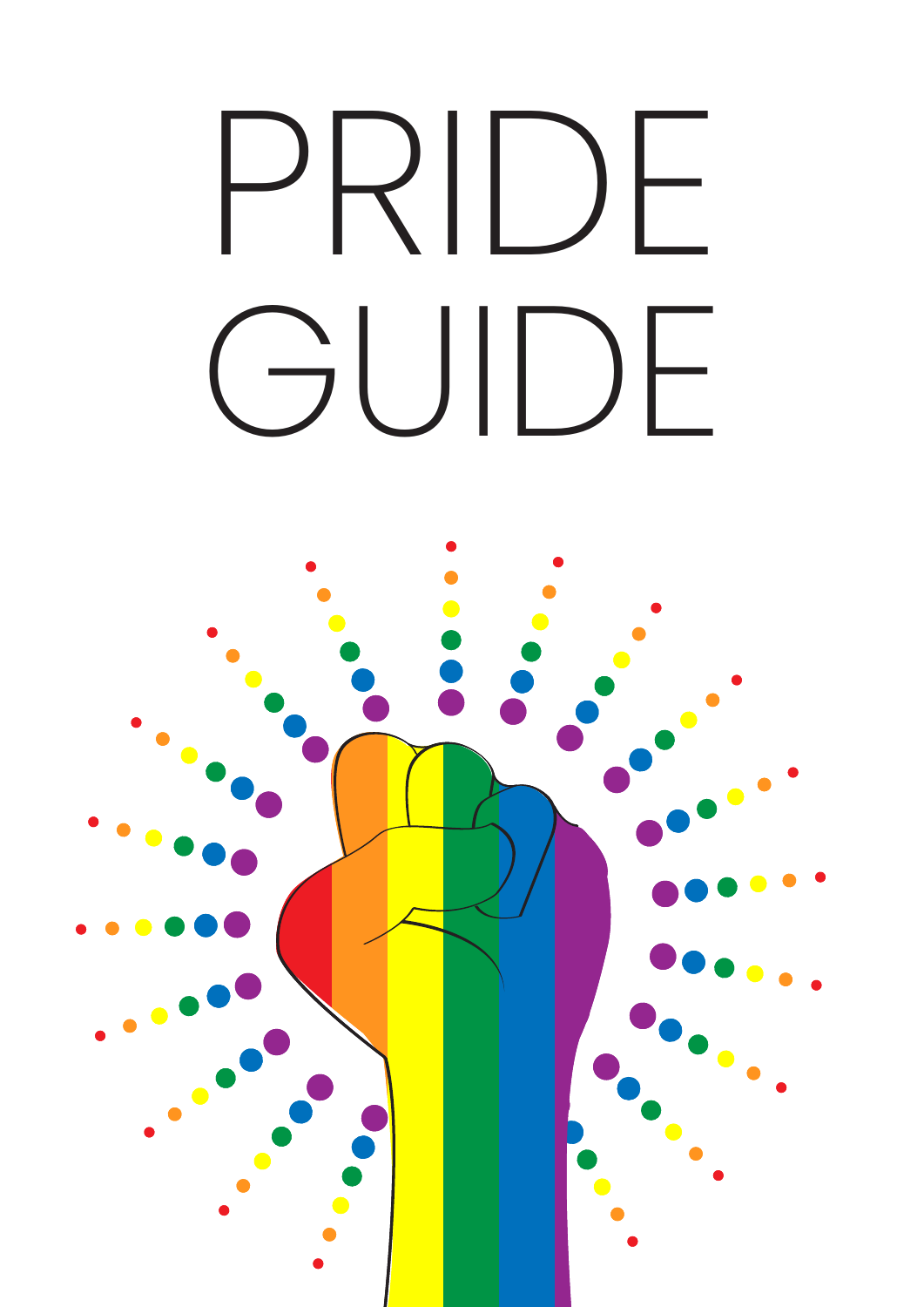# PRIDE GUIDE

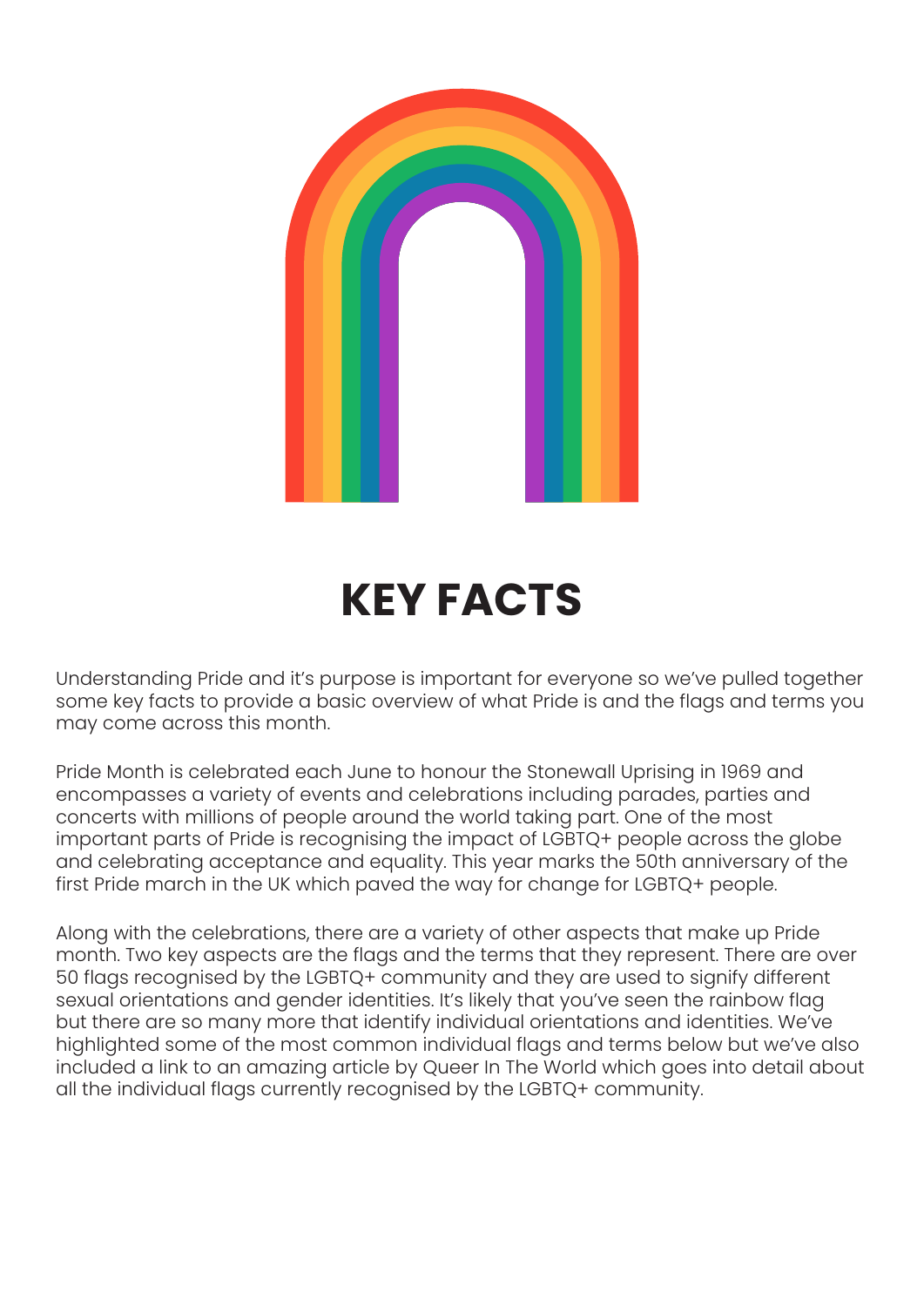![](_page_1_Picture_0.jpeg)

## **KEY FACTS**

Understanding Pride and it's purpose is important for everyone so we've pulled together some key facts to provide a basic overview of what Pride is and the flags and terms you may come across this month.

Pride Month is celebrated each June to honour the Stonewall Uprising in 1969 and encompasses a variety of events and celebrations including parades, parties and concerts with millions of people around the world taking part. One of the most important parts of Pride is recognising the impact of LGBTQ+ people across the globe and celebrating acceptance and equality. This year marks the 50th anniversary of the first Pride march in the UK which paved the way for change for LGBTQ+ people.

Along with the celebrations, there are a variety of other aspects that make up Pride month. Two key aspects are the flags and the terms that they represent. There are over 50 flags recognised by the LGBTQ+ community and they are used to signify different sexual orientations and gender identities. It's likely that you've seen the rainbow flag but there are so many more that identify individual orientations and identities. We've highlighted some of the most common individual flags and terms below but we've also included a link to an amazing article by Queer In The World which goes into detail about all the individual flags currently recognised by the LGBTQ+ community.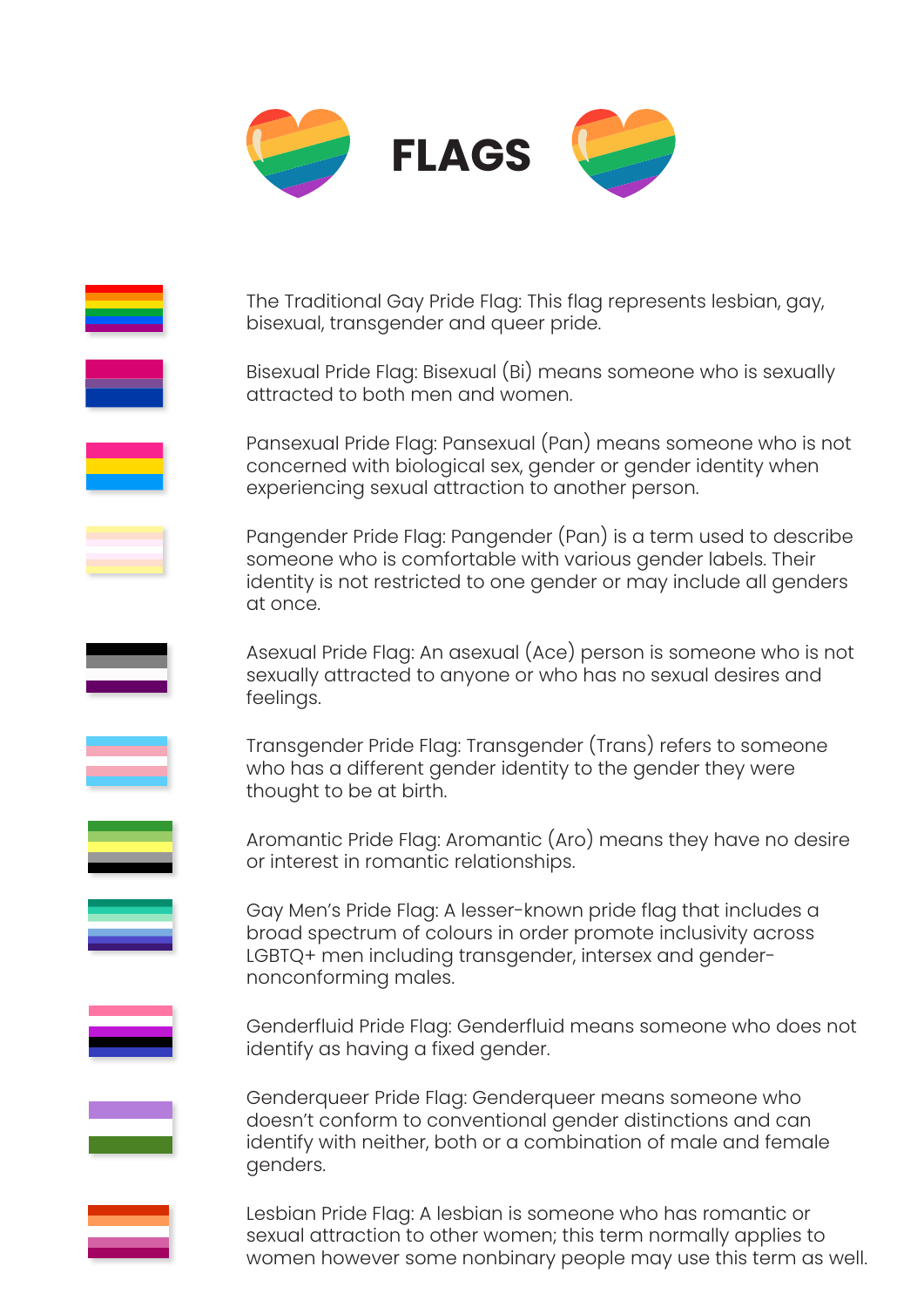![](_page_2_Picture_0.jpeg)

The Traditional Gay Pride Flag: This flag represents lesbian, gay, bisexual, transgender and queer pride. Bisexual Pride Flag: Bisexual (Bi) means someone who is sexually attracted to both men and women. Pansexual Pride Flag: Pansexual (Pan) means someone who is not concerned with biological sex, gender or gender identity when experiencing sexual attraction to another person. Pangender Pride Flag: Pangender (Pan) is a term used to describe someone who is comfortable with various gender labels. Their identity is not restricted to one gender or may include all genders at once. Asexual Pride Flag: An asexual (Ace) person is someone who is not sexually attracted to anyone or who has no sexual desires and feelings. Transgender Pride Flag: Transgender (Trans) refers to someone who has a different gender identity to the gender they were thought to be at birth. Aromantic Pride Flag: Aromantic (Aro) means they have no desire or interest in romantic relationships. Gay Men's Pride Flag: A lesser-known pride flag that includes a broad spectrum of colours in order promote inclusivity across LGBTQ+ men including transgender, intersex and gendernonconforming males. Genderfluid Pride Flag: Genderfluid means someone who does not identify as having a fixed gender. Genderqueer Pride Flag: Genderqueer means someone who doesn't conform to conventional gender distinctions and can identify with neither, both or a combination of male and female genders.

![](_page_2_Figure_2.jpeg)

Lesbian Pride Flag: A lesbian is someone who has romantic or sexual attraction to other women; this term normally applies to women however some nonbinary people may use this term as well.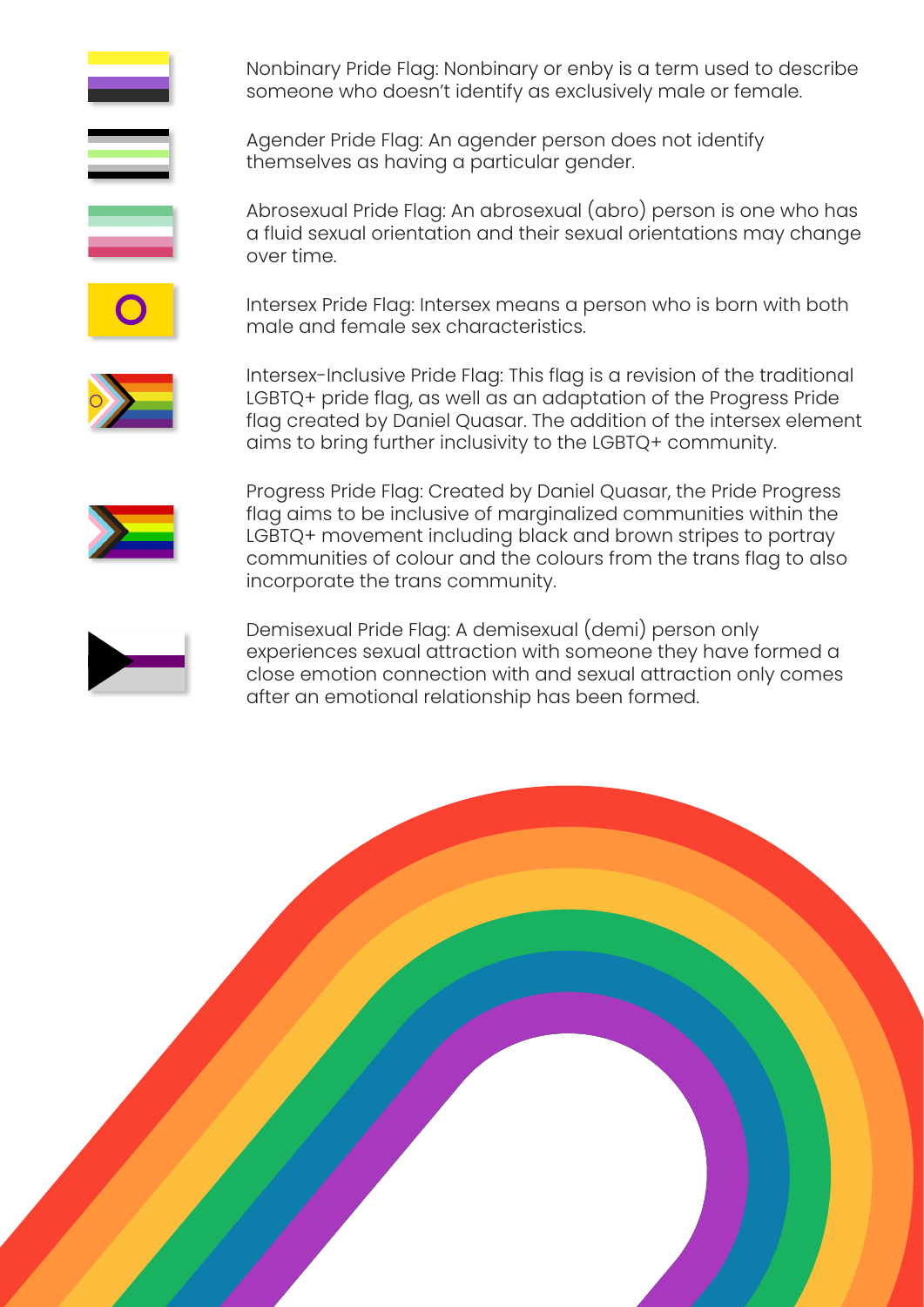Nonbinary Pride Flag: Nonbinary or enby is a term used to describe someone who doesn't identify as exclusively male or female.

Agender Pride Flag: An agender person does not identify themselves as having a particular gender.

Abrosexual Pride Flag: An abrosexual (abro) person is one who has a fluid sexual orientation and their sexual orientations may change over time.

Intersex Pride Flag: Intersex means a person who is born with both male and female sex characteristics.

Intersex-Inclusive Pride Flag: This flag is a revision of the traditional LGBTQ+ pride flag, as well as an adaptation of the Progress Pride flag created by Daniel Quasar. The addition of the intersex element aims to bring further inclusivity to the LGBTQ+ community.

![](_page_3_Picture_5.jpeg)

Progress Pride Flag: Created by Daniel Quasar, the Pride Progress flag aims to be inclusive of marginalized communities within the LGBTQ+ movement including black and brown stripes to portray communities of colour and the colours from the trans flag to also incorporate the trans community.

![](_page_3_Figure_7.jpeg)

Demisexual Pride Flag: A demisexual (demi) person only experiences sexual attraction with someone they have formed a close emotion connection with and sexual attraction only comes after an emotional relationship has been formed.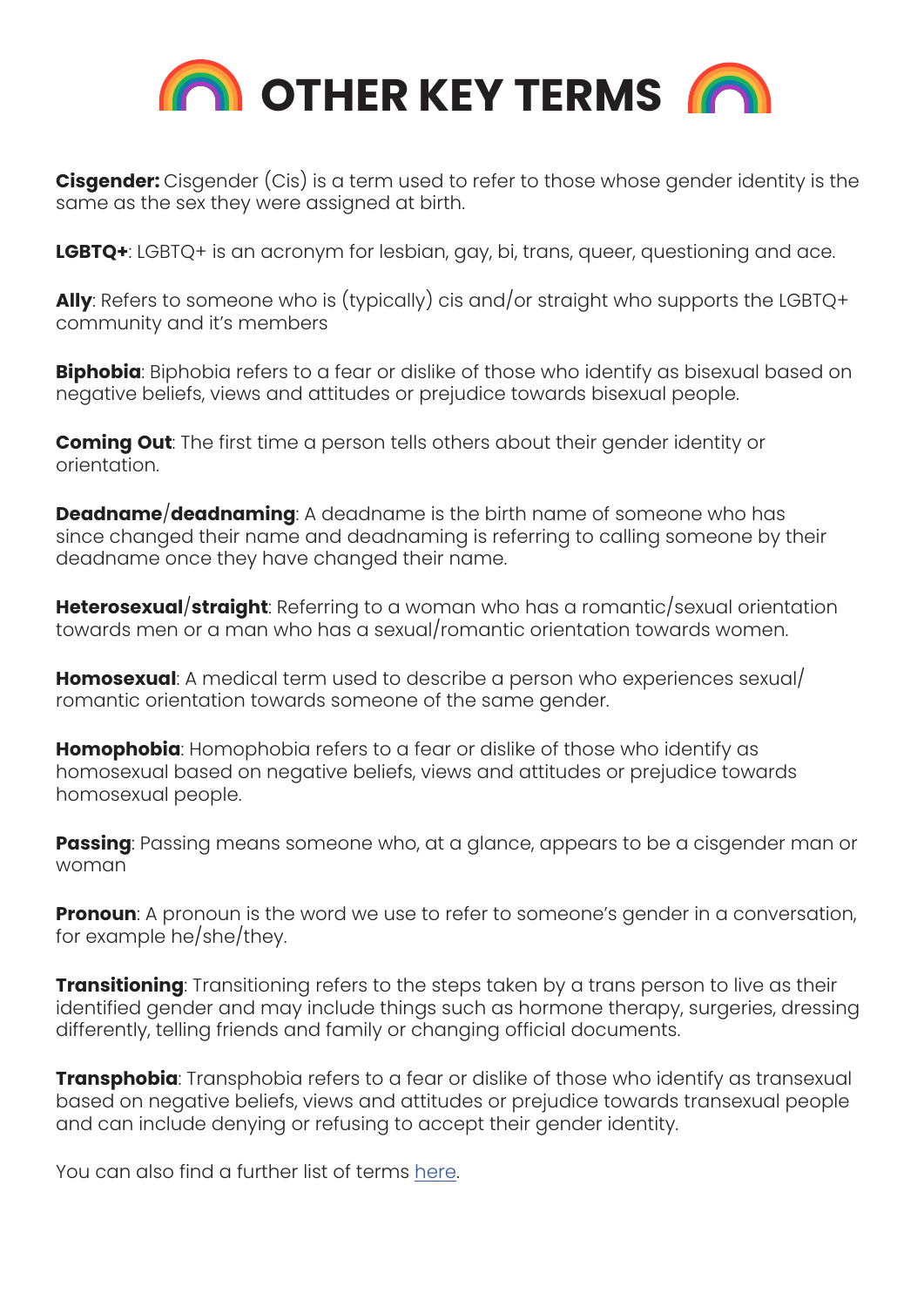![](_page_4_Picture_0.jpeg)

**Cisgender:** Cisgender (Cis) is a term used to refer to those whose gender identity is the same as the sex they were assigned at birth.

**LGBTQ+**: LGBTQ+ is an acronym for lesbian, gay, bi, trans, queer, questioning and ace.

**Ally**: Refers to someone who is (typically) cis and/or straight who supports the LGBTQ+ community and it's members

**Biphobia**: Biphobia refers to a fear or dislike of those who identify as bisexual based on negative beliefs, views and attitudes or prejudice towards bisexual people.

**Coming Out**: The first time a person tells others about their gender identity or orientation.

**Deadname**/**deadnaming**: A deadname is the birth name of someone who has since changed their name and deadnaming is referring to calling someone by their deadname once they have changed their name.

**Heterosexual**/**straight**: Referring to a woman who has a romantic/sexual orientation towards men or a man who has a sexual/romantic orientation towards women.

**Homosexual**: A medical term used to describe a person who experiences sexual/ romantic orientation towards someone of the same gender.

**Homophobia**: Homophobia refers to a fear or dislike of those who identify as homosexual based on negative beliefs, views and attitudes or prejudice towards homosexual people.

**Passing**: Passing means someone who, at a glance, appears to be a cisgender man or woman

**Pronoun**: A pronoun is the word we use to refer to someone's gender in a conversation, for example he/she/they.

**Transitioning**: Transitioning refers to the steps taken by a trans person to live as their identified gender and may include things such as hormone therapy, surgeries, dressing differently, telling friends and family or changing official documents.

**Transphobia**: Transphobia refers to a fear or dislike of those who identify as transexual based on negative beliefs, views and attitudes or prejudice towards transexual people and can include denying or refusing to accept their gender identity.

You can also find a further list of terms [here](https://www.stonewall.org.uk/help-advice/faqs-and-glossary/list-lgbtq-terms).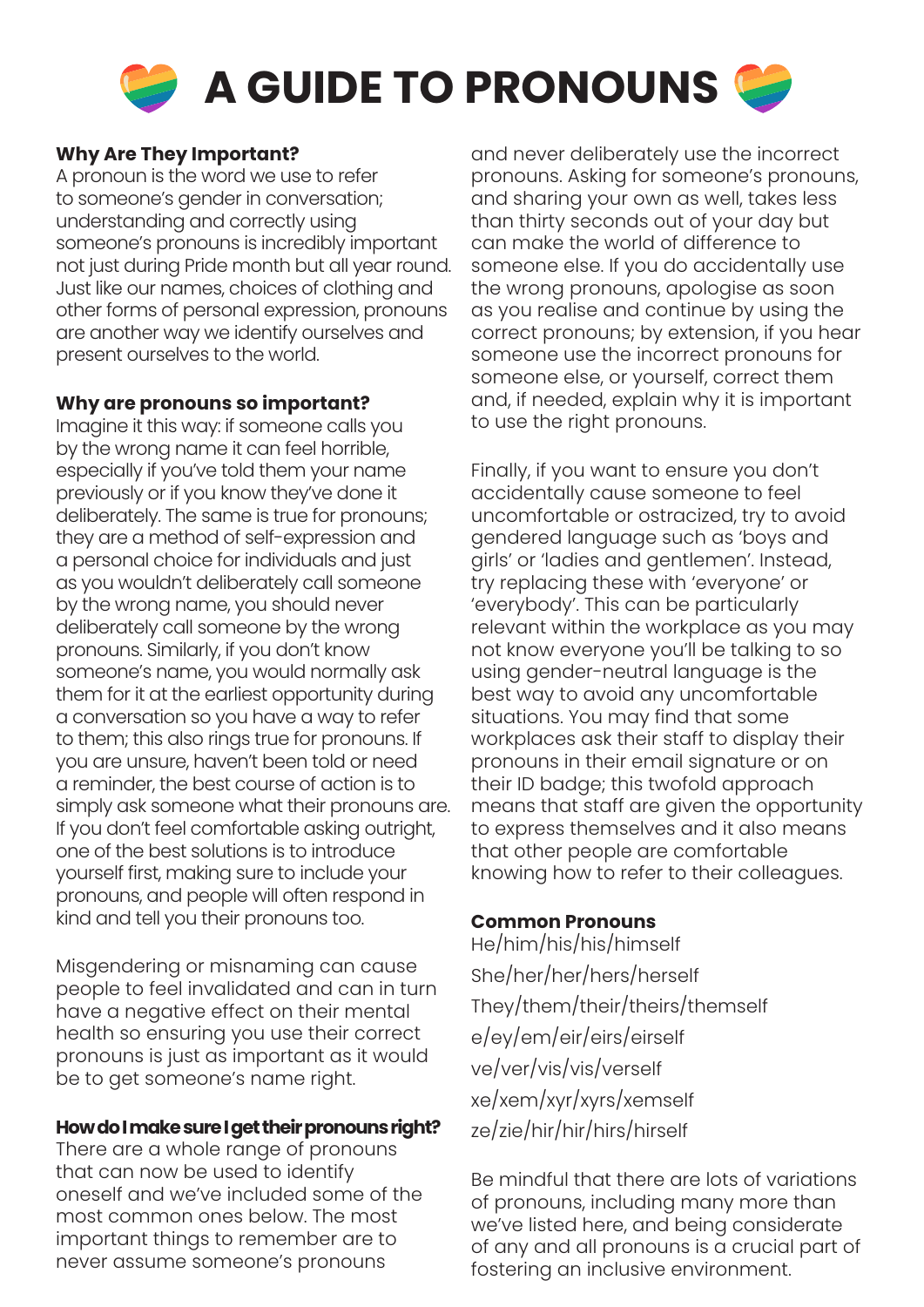![](_page_5_Picture_0.jpeg)

**A GUIDE TO PRONOUNS** 

#### **Why Are They Important?**

A pronoun is the word we use to refer to someone's gender in conversation; understanding and correctly using someone's pronouns is incredibly important not just during Pride month but all year round. Just like our names, choices of clothing and other forms of personal expression, pronouns are another way we identify ourselves and present ourselves to the world.

#### **Why are pronouns so important?**

Imagine it this way: if someone calls you by the wrong name it can feel horrible, especially if you've told them your name previously or if you know they've done it deliberately. The same is true for pronouns; they are a method of self-expression and a personal choice for individuals and just as you wouldn't deliberately call someone by the wrong name, you should never deliberately call someone by the wrong pronouns. Similarly, if you don't know someone's name, you would normally ask them for it at the earliest opportunity during a conversation so you have a way to refer to them; this also rings true for pronouns. If you are unsure, haven't been told or need a reminder, the best course of action is to simply ask someone what their pronouns are. If you don't feel comfortable asking outright, one of the best solutions is to introduce yourself first, making sure to include your pronouns, and people will often respond in kind and tell you their pronouns too.

Misgendering or misnaming can cause people to feel invalidated and can in turn have a negative effect on their mental health so ensuring you use their correct pronouns is just as important as it would be to get someone's name right.

#### **How do I make sure I get their pronouns right?**

There are a whole range of pronouns that can now be used to identify oneself and we've included some of the most common ones below. The most important things to remember are to never assume someone's pronouns

and never deliberately use the incorrect pronouns. Asking for someone's pronouns, and sharing your own as well, takes less than thirty seconds out of your day but can make the world of difference to someone else. If you do accidentally use the wrong pronouns, apologise as soon as you realise and continue by using the correct pronouns; by extension, if you hear someone use the incorrect pronouns for someone else, or yourself, correct them and, if needed, explain why it is important to use the right pronouns.

Finally, if you want to ensure you don't accidentally cause someone to feel uncomfortable or ostracized, try to avoid gendered language such as 'boys and girls' or 'ladies and gentlemen'. Instead, try replacing these with 'everyone' or 'everybody'. This can be particularly relevant within the workplace as you may not know everyone you'll be talking to so using gender-neutral language is the best way to avoid any uncomfortable situations. You may find that some workplaces ask their staff to display their pronouns in their email signature or on their ID badge; this twofold approach means that staff are given the opportunity to express themselves and it also means that other people are comfortable knowing how to refer to their colleagues.

#### **Common Pronouns**

He/him/his/his/himself She/her/her/hers/herself They/them/their/theirs/themself e/ey/em/eir/eirs/eirself ve/ver/vis/vis/verself xe/xem/xyr/xyrs/xemself ze/zie/hir/hir/hirs/hirself

Be mindful that there are lots of variations of pronouns, including many more than we've listed here, and being considerate of any and all pronouns is a crucial part of fostering an inclusive environment.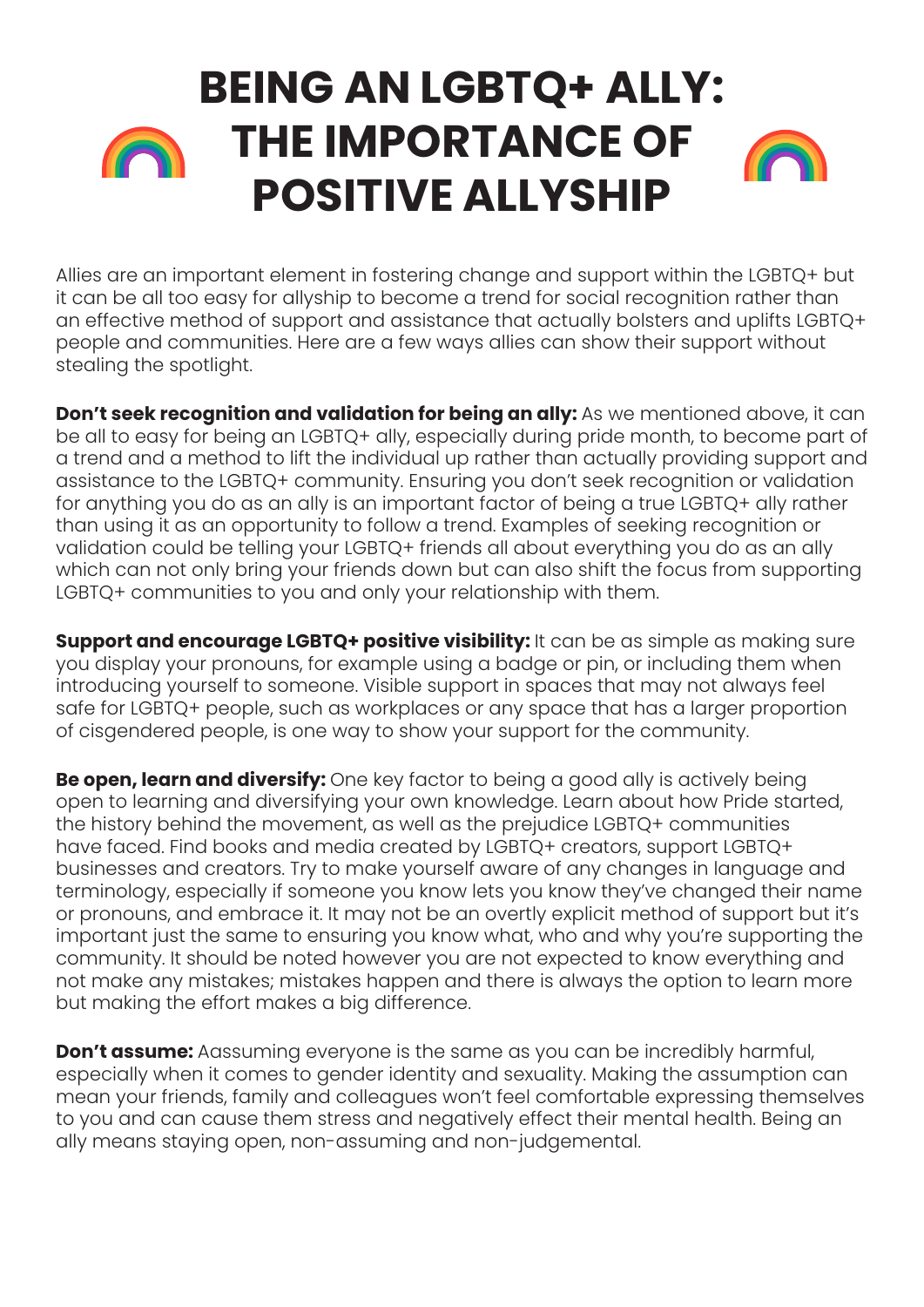### **BEING AN LGBTQ+ ALLY: THE IMPORTANCE OF**  n **POSITIVE ALLYSHIP**

Allies are an important element in fostering change and support within the LGBTQ+ but it can be all too easy for allyship to become a trend for social recognition rather than an effective method of support and assistance that actually bolsters and uplifts LGBTQ+ people and communities. Here are a few ways allies can show their support without stealing the spotlight.

**Don't seek recognition and validation for being an ally:** As we mentioned above, it can be all to easy for being an LGBTQ+ ally, especially during pride month, to become part of a trend and a method to lift the individual up rather than actually providing support and assistance to the LGBTQ+ community. Ensuring you don't seek recognition or validation for anything you do as an ally is an important factor of being a true LGBTQ+ ally rather than using it as an opportunity to follow a trend. Examples of seeking recognition or validation could be telling your LGBTQ+ friends all about everything you do as an ally which can not only bring your friends down but can also shift the focus from supporting LGBTQ+ communities to you and only your relationship with them.

**Support and encourage LGBTQ+ positive visibility:** It can be as simple as making sure you display your pronouns, for example using a badge or pin, or including them when introducing yourself to someone. Visible support in spaces that may not always feel safe for LGBTQ+ people, such as workplaces or any space that has a larger proportion of cisgendered people, is one way to show your support for the community.

**Be open, learn and diversify:** One key factor to being a good ally is actively being open to learning and diversifying your own knowledge. Learn about how Pride started, the history behind the movement, as well as the prejudice LGBTQ+ communities have faced. Find books and media created by LGBTQ+ creators, support LGBTQ+ businesses and creators. Try to make yourself aware of any changes in language and terminology, especially if someone you know lets you know they've changed their name or pronouns, and embrace it. It may not be an overtly explicit method of support but it's important just the same to ensuring you know what, who and why you're supporting the community. It should be noted however you are not expected to know everything and not make any mistakes; mistakes happen and there is always the option to learn more but making the effort makes a big difference.

**Don't assume:** Aassuming everyone is the same as you can be incredibly harmful, especially when it comes to gender identity and sexuality. Making the assumption can mean your friends, family and colleagues won't feel comfortable expressing themselves to you and can cause them stress and negatively effect their mental health. Being an ally means staying open, non-assuming and non-judgemental.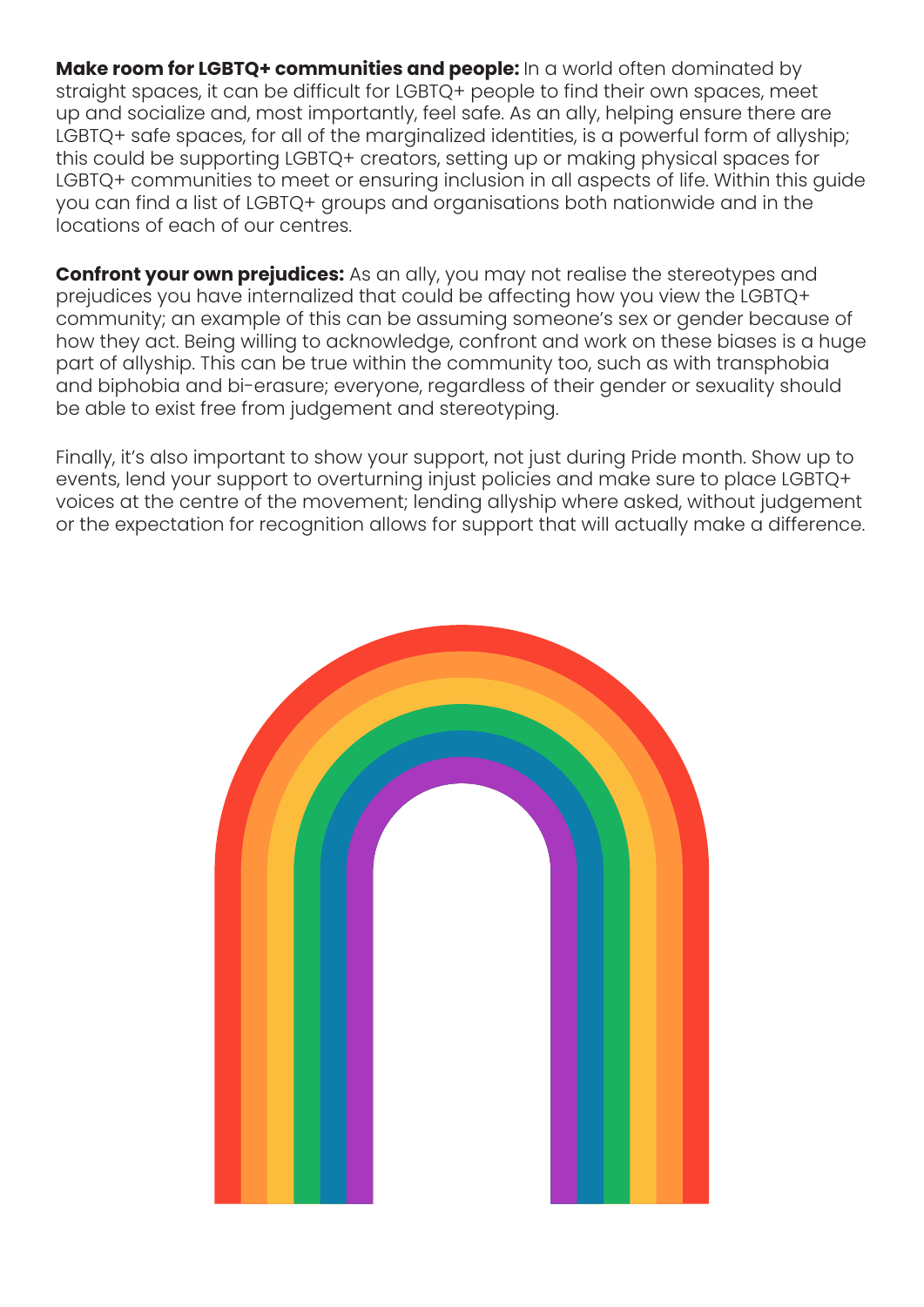**Make room for LGBTQ+ communities and people:** In a world often dominated by straight spaces, it can be difficult for LGBTQ+ people to find their own spaces, meet up and socialize and, most importantly, feel safe. As an ally, helping ensure there are LGBTQ+ safe spaces, for all of the marginalized identities, is a powerful form of allyship; this could be supporting LGBTQ+ creators, setting up or making physical spaces for LGBTQ+ communities to meet or ensuring inclusion in all aspects of life. Within this guide you can find a list of LGBTQ+ groups and organisations both nationwide and in the locations of each of our centres.

**Confront your own prejudices:** As an ally, you may not realise the stereotypes and prejudices you have internalized that could be affecting how you view the LGBTQ+ community; an example of this can be assuming someone's sex or gender because of how they act. Being willing to acknowledge, confront and work on these biases is a huge part of allyship. This can be true within the community too, such as with transphobia and biphobia and bi-erasure; everyone, regardless of their gender or sexuality should be able to exist free from judgement and stereotyping.

Finally, it's also important to show your support, not just during Pride month. Show up to events, lend your support to overturning injust policies and make sure to place LGBTQ+ voices at the centre of the movement; lending allyship where asked, without judgement or the expectation for recognition allows for support that will actually make a difference.

![](_page_7_Picture_3.jpeg)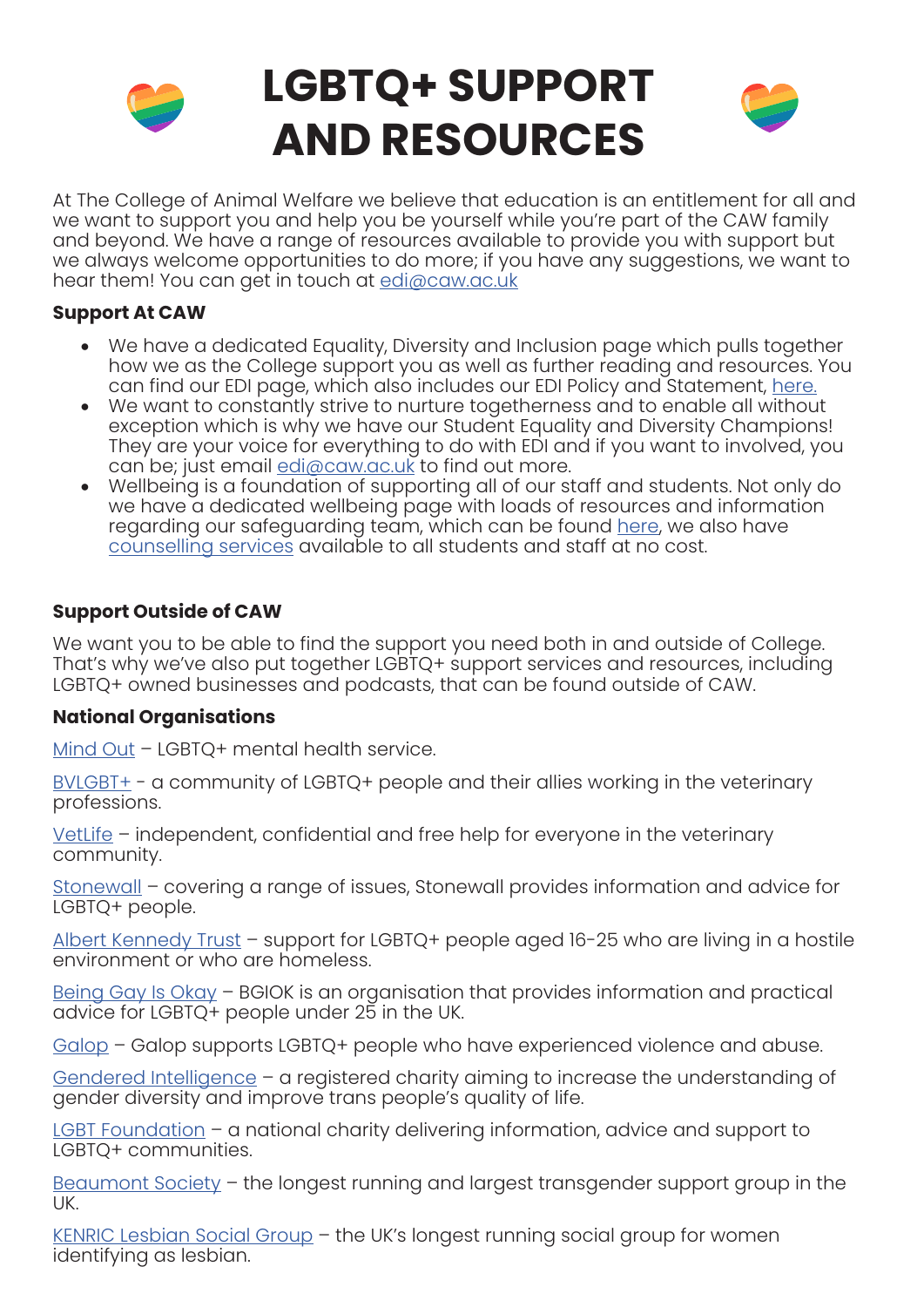![](_page_8_Picture_0.jpeg)

## **LGBTQ+ SUPPORT AND RESOURCES**

![](_page_8_Picture_2.jpeg)

At The College of Animal Welfare we believe that education is an entitlement for all and we want to support you and help you be yourself while you're part of the CAW family and beyond. We have a range of resources available to provide you with support but we always welcome opportunities to do more; if you have any suggestions, we want to hear them! You can get in touch at [edi@caw.ac.uk](mailto:edi@caw.ac.uk)

#### **Support At CAW**

- We have a dedicated Equality, Diversity and Inclusion page which pulls together how we as the College support you as well as further reading and resources. You can find our EDI page, which also includes our EDI Policy and Statement, [here.](https://www.caw.ac.uk/edi/)
- We want to constantly strive to nurture togetherness and to enable all without exception which is why we have our Student Equality and Diversity Champions! They are your voice for everything to do with EDI and if you want to involved, you can be; just email [edi@caw.ac.uk](mailto:edi@caw.ac.uk) to find out more.
- Wellbeing is a foundation of supporting all of our staff and students. Not only do we have a dedicated wellbeing page with loads of resources and information regarding our safeguarding team, which can be found [here,](https://www.caw.ac.uk/wellbeing/) we also have counselling services available to all students and staff at no cost.

#### **Support Outside of CAW**

We want you to be able to find the support you need both in and outside of College. That's why we've also put together LGBTQ+ support services and resources, including LGBTQ+ owned businesses and podcasts, that can be found outside of CAW.

#### **National Organisations**

[Mind Out](https://mindout.org.uk/) - LGBTQ+ mental health service.

[BVLGBT+](https://bvlgbt.org/) - a community of LGBTQ+ people and their allies working in the veterinary professions.

[VetLife](https://www.vetlife.org.uk/) – independent, confidential and free help for everyone in the veterinary community.

[Stonewall](https://www.stonewall.org.uk/) – covering a range of issues, Stonewall provides information and advice for LGBTQ+ people.

[Albert Kennedy Trust](https://www.akt.org.uk/) – support for LGBTQ+ people aged 16-25 who are living in a hostile environment or who are homeless.

[Being Gay Is Okay](https://bgiok.org.uk/) – BGIOK is an organisation that provides information and practical advice for LGBTQ+ people under 25 in the UK.

[Galop](https://galop.org.uk/) – Galop supports LGBTQ+ people who have experienced violence and abuse.

[Gendered Intelligence](https://genderedintelligence.co.uk/) – a registered charity aiming to increase the understanding of gender diversity and improve trans people's quality of life.

[LGBT Foundation](https://lgbt.foundation/) – a national charity delivering information, advice and support to LGBTQ+ communities.

[Beaumont Society](https://www.beaumontsociety.org.uk/) – the longest running and largest transgender support group in the UK.

[KENRIC Lesbian Social Group](https://kenriclesbians.org.uk/) – the UK's longest running social group for women identifying as lesbian.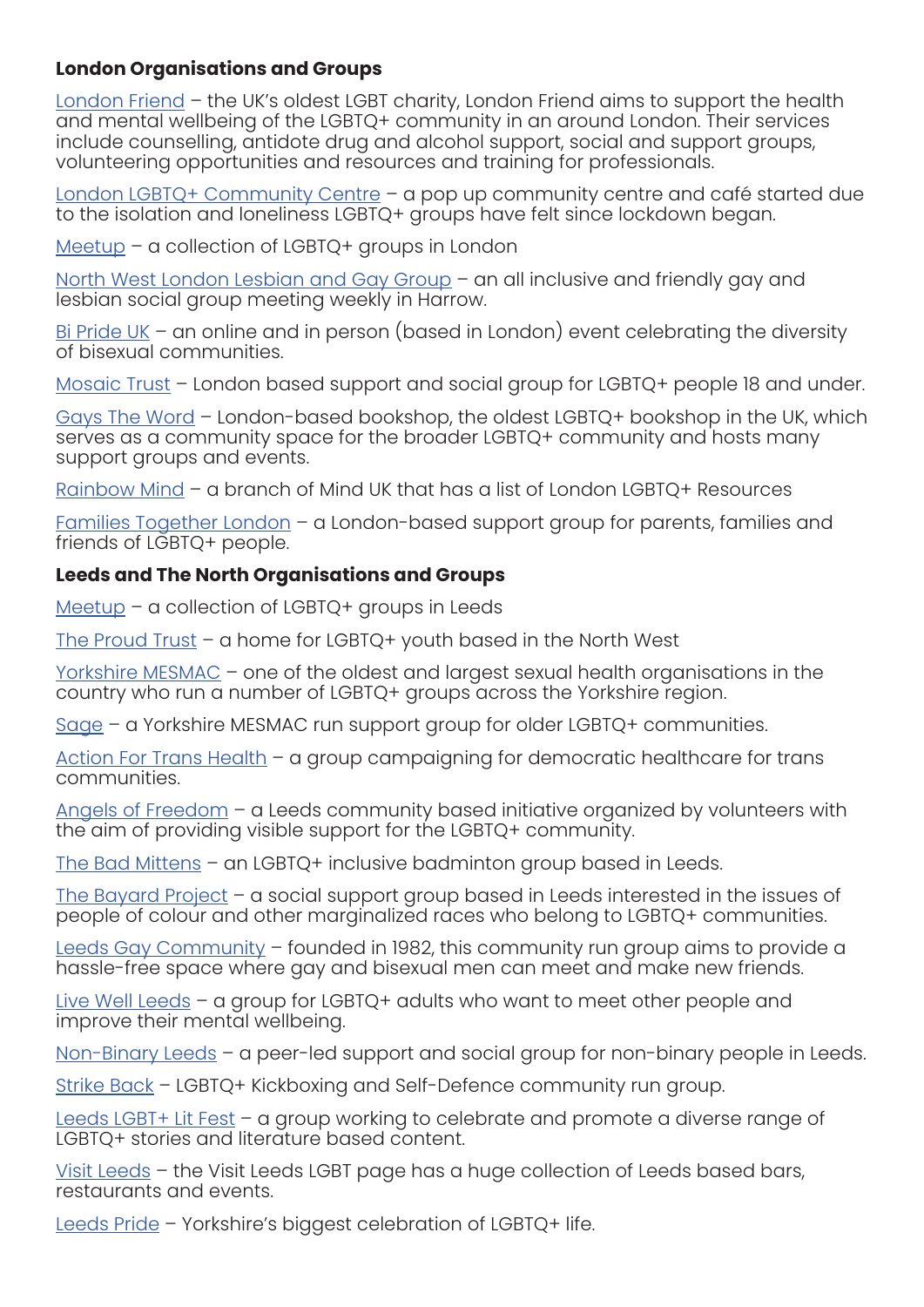#### **London Organisations and Groups**

[London Friend](https://londonfriend.org.uk/) – the UK's oldest LGBT charity, London Friend aims to support the health and mental wellbeing of the LGBTQ+ community in an around London. Their services include counselling, antidote drug and alcohol support, social and support groups, volunteering opportunities and resources and training for professionals.

[London LGBTQ+ Community Centre](https://londonlgbtqcentre.org/) - a pop up community centre and café started due to the isolation and loneliness LGBTQ+ groups have felt since lockdown began.

[Meetup](https://www.meetup.com/cities/gb/17/london/lgbtq/) – a collection of LGBTQ+ groups in London

[North West London Lesbian and Gay Group](https://nwlgay.com/) – an all inclusive and friendly gay and lesbian social group meeting weekly in Harrow.

[Bi Pride UK](https://biprideuk.org/) – an online and in person (based in London) event celebrating the diversity of bisexual communities.

[Mosaic Trust](https://www.mosaictrust.org.uk/) – London based support and social group for LGBTQ+ people 18 and under.

[Gays The Word](https://www.gaystheword.co.uk/communitygroups) – London-based bookshop, the oldest LGBTQ+ bookshop in the UK, which serves as a community space for the broader LGBTQ+ community and hosts many support groups and events.

[Rainbow Mind](https://rainbowmind.org/london-lgbt-resources/) – a branch of Mind UK that has a list of London LGBTQ+ Resources

[Families Together London](https://www.familiestogetherlondon.com/) – a London-based support group for parents, families and friends of LGBTQ+ people.

#### **Leeds and The North Organisations and Groups**

[Meetup](https://www.meetup.com/cities/gb/45/leeds/lgbtq/) – a collection of LGBTQ+ groups in Leeds

[The Proud Trust](https://www.theproudtrust.org/) – a home for LGBTQ+ youth based in the North West

[Yorkshire MESMAC](https://www.mesmac.co.uk/) – one of the oldest and largest sexual health organisations in the country who run a number of LGBTQ+ groups across the Yorkshire region.

[Sage](https://www.mesmac.co.uk/our-services/leeds/support-social-groups/sage-older-lgbt-support) – a Yorkshire MESMAC run support group for older LGBTQ+ communities.

[Action For Trans Health](http://actionfortranshealth.org.uk/) – a group campaigning for democratic healthcare for trans communities.

[Angels of Freedom](https://www.angelsoffreedom.org.uk/) – a Leeds community based initiative organized by volunteers with the aim of providing visible support for the LGBTQ+ community.

[The Bad Mittens](https://www.meetup.com/Leeds-Inclusive-Sport/) – an LGBTQ+ inclusive badminton group based in Leeds.

[The Bayard Project](https://www.mesmac.co.uk/our-services/leeds/support-social-groups/the-bayard-project) – a social support group based in Leeds interested in the issues of people of colour and other marginalized races who belong to LGBTQ+ communities.

[Leeds Gay Community](https://www.mesmac.co.uk/our-services/leeds/support-social-groups/leeds-gay-community) – founded in 1982, this community run group aims to provide a hassle-free space where gay and bisexual men can meet and make new friends.

[Live Well Leeds](https://www.mesmac.co.uk/our-services/leeds/support-social-groups/technicolour-social) - a group for LGBTQ+ adults who want to meet other people and improve their mental wellbeing.

[Non-Binary Leeds](https://www.mesmac.co.uk/our-services/leeds/support-social-groups/non-binary-leeds) – a peer-led support and social group for non-binary people in Leeds.

[Strike Back](https://www.mesmac.co.uk/our-services/leeds/support-social-groups/strike-back-lgbt-kickboxing-and-self-defence) – LGBTQ+ Kickboxing and Self-Defence community run group.

[Leeds LGBT+ Lit Fest](https://www.leedslgbtbooks.com/) – a group working to celebrate and promote a diverse range of LGBTQ+ stories and literature based content.

[Visit Leeds](https://www.visitleeds.co.uk/lgbt/) – the Visit Leeds LGBT page has a huge collection of Leeds based bars, restaurants and events.

[Leeds Pride](http://www.leedspride.com/) - Yorkshire's biggest celebration of LGBTQ+ life.